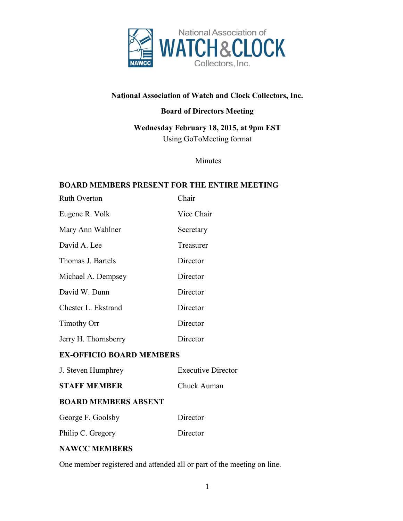

# **National Association of Watch and Clock Collectors, Inc.**

## **Board of Directors Meeting**

**Wednesday February 18, 2015, at 9pm EST** Using GoToMeeting format

Minutes

#### **BOARD MEMBERS PRESENT FOR THE ENTIRE MEETING**

| <b>Ruth Overton</b>  | Chair      |
|----------------------|------------|
| Eugene R. Volk       | Vice Chair |
| Mary Ann Wahlner     | Secretary  |
| David A. Lee         | Treasurer  |
| Thomas J. Bartels    | Director   |
| Michael A. Dempsey   | Director   |
| David W. Dunn        | Director   |
| Chester L. Ekstrand  | Director   |
| <b>Timothy Orr</b>   | Director   |
| Jerry H. Thornsberry | Director   |

### **EX-OFFICIO BOARD MEMBERS**

| J. Steven Humphrey          | <b>Executive Director</b> |
|-----------------------------|---------------------------|
| <b>STAFF MEMBER</b>         | Chuck Auman               |
| <b>BOARD MEMBERS ABSENT</b> |                           |
| George F. Goolsby           | Director                  |
| Philip C. Gregory           | Director                  |
|                             |                           |

## **NAWCC MEMBERS**

One member registered and attended all or part of the meeting on line.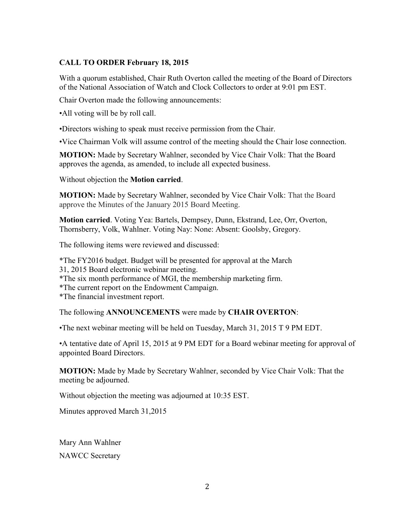### **CALL TO ORDER February 18, 2015**

With a quorum established, Chair Ruth Overton called the meeting of the Board of Directors of the National Association of Watch and Clock Collectors to order at 9:01 pm EST.

Chair Overton made the following announcements:

•All voting will be by roll call.

•Directors wishing to speak must receive permission from the Chair.

•Vice Chairman Volk will assume control of the meeting should the Chair lose connection.

**MOTION:** Made by Secretary Wahlner, seconded by Vice Chair Volk: That the Board approves the agenda, as amended, to include all expected business.

Without objection the **Motion carried**.

**MOTION:** Made by Secretary Wahlner, seconded by Vice Chair Volk: That the Board approve the Minutes of the January 2015 Board Meeting.

**Motion carried**. Voting Yea: Bartels, Dempsey, Dunn, Ekstrand, Lee, Orr, Overton, Thornsberry, Volk, Wahlner. Voting Nay: None: Absent: Goolsby, Gregory.

The following items were reviewed and discussed:

\*The FY2016 budget. Budget will be presented for approval at the March

31, 2015 Board electronic webinar meeting.

\*The six month performance of MGI, the membership marketing firm.

\*The current report on the Endowment Campaign.

\*The financial investment report.

The following **ANNOUNCEMENTS** were made by **CHAIR OVERTON**:

•The next webinar meeting will be held on Tuesday, March 31, 2015 T 9 PM EDT.

•A tentative date of April 15, 2015 at 9 PM EDT for a Board webinar meeting for approval of appointed Board Directors.

**MOTION:** Made by Made by Secretary Wahlner, seconded by Vice Chair Volk: That the meeting be adjourned.

Without objection the meeting was adjourned at 10:35 EST.

Minutes approved March 31,2015

Mary Ann Wahlner NAWCC Secretary